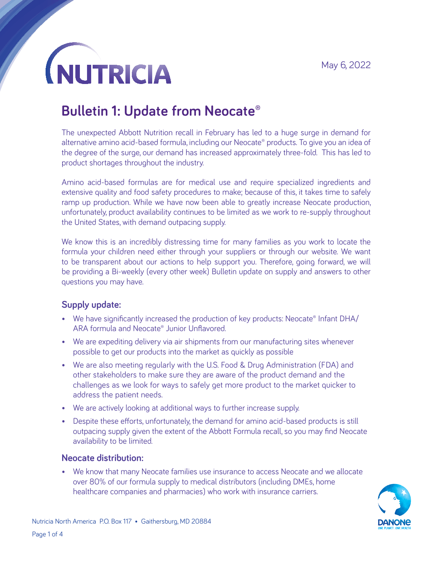## **NUTRICIA**

### **Bulletin 1: Update from Neocate®**

The unexpected Abbott Nutrition recall in February has led to a huge surge in demand for alternative amino acid-based formula, including our Neocate® products. To give you an idea of the degree of the surge, our demand has increased approximately three-fold. This has led to product shortages throughout the industry.

Amino acid-based formulas are for medical use and require specialized ingredients and extensive quality and food safety procedures to make; because of this, it takes time to safely ramp up production. While we have now been able to greatly increase Neocate production, unfortunately, product availability continues to be limited as we work to re-supply throughout the United States, with demand outpacing supply.

We know this is an incredibly distressing time for many families as you work to locate the formula your children need either through your suppliers or through our website. We want to be transparent about our actions to help support you. Therefore, going forward, we will be providing a Bi-weekly (every other week) Bulletin update on supply and answers to other questions you may have.

#### **Supply update:**

- We have significantly increased the production of key products: Neocate® Infant DHA/ ARA formula and Neocate® Junior Unflavored.
- We are expediting delivery via air shipments from our manufacturing sites whenever possible to get our products into the market as quickly as possible
- We are also meeting regularly with the U.S. Food & Drug Administration (FDA) and other stakeholders to make sure they are aware of the product demand and the challenges as we look for ways to safely get more product to the market quicker to address the patient needs.
- We are actively looking at additional ways to further increase supply.
- Despite these efforts, unfortunately, the demand for amino acid-based products is still outpacing supply given the extent of the Abbott Formula recall, so you may find Neocate availability to be limited.

#### **Neocate distribution:**

• We know that many Neocate families use insurance to access Neocate and we allocate over 80% of our formula supply to medical distributors (including DMEs, home healthcare companies and pharmacies) who work with insurance carriers.

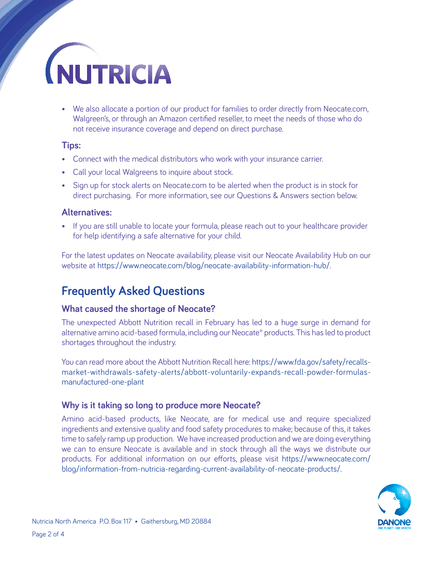# **NUTRICIA**

• We also allocate a portion of our product for families to order directly from Neocate.com, Walgreen's, or through an Amazon certified reseller, to meet the needs of those who do not receive insurance coverage and depend on direct purchase.

#### **Tips:**

- Connect with the medical distributors who work with your insurance carrier.
- Call your local Walgreens to inquire about stock.
- Sign up for stock alerts on Neocate.com to be alerted when the product is in stock for direct purchasing. For more information, see our Questions & Answers section below.

#### **Alternatives:**

• If you are still unable to locate your formula, please reach out to your healthcare provider for help identifying a safe alternative for your child.

For the latest updates on Neocate availability, please visit our Neocate Availability Hub on our website at <https://www.neocate.com/blog/neocate-availability-information-hub/>.

### **Frequently Asked Questions**

#### **What caused the shortage of Neocate?**

The unexpected Abbott Nutrition recall in February has led to a huge surge in demand for alternative amino acid-based formula, including our Neocate® products. This has led to product shortages throughout the industry.

You can read more about the Abbott Nutrition Recall here: [https://www.fda.gov/safety/recalls](https://www.fda.gov/safety/recalls-market-withdrawals-safety-alerts/abbott-voluntarily-expands-recall-powder-formulas-manufactured-one-plant)[market-withdrawals-safety-alerts/abbott-voluntarily-expands-recall-powder-formulas](https://www.fda.gov/safety/recalls-market-withdrawals-safety-alerts/abbott-voluntarily-expands-recall-powder-formulas-manufactured-one-plant)[manufactured-one-plant](https://www.fda.gov/safety/recalls-market-withdrawals-safety-alerts/abbott-voluntarily-expands-recall-powder-formulas-manufactured-one-plant)

#### **Why is it taking so long to produce more Neocate?**

Amino acid-based products, like Neocate, are for medical use and require specialized ingredients and extensive quality and food safety procedures to make; because of this, it takes time to safely ramp up production. We have increased production and we are doing everything we can to ensure Neocate is available and in stock through all the ways we distribute our products. For additional information on our efforts, please visit [https://www.neocate.com/](https://www.neocate.com/blog/information-from-nutricia-regarding-current-availability-of-neocate-products/) [blog/information-from-nutricia-regarding-current-availability-of-neocate-products/](https://www.neocate.com/blog/information-from-nutricia-regarding-current-availability-of-neocate-products/).

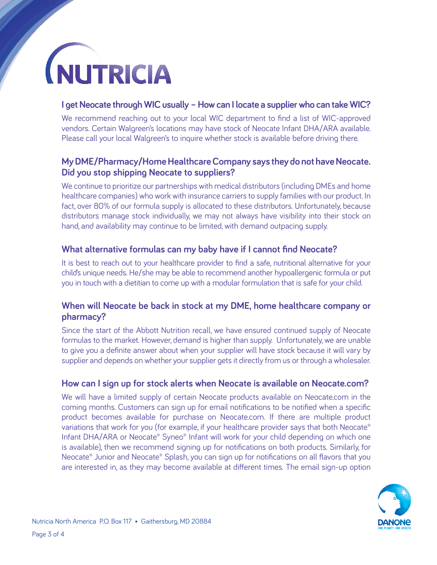

#### **I get Neocate through WIC usually – How can I locate a supplier who can take WIC?**

We recommend reaching out to your local WIC department to find a list of WIC-approved vendors. Certain Walgreen's locations may have stock of Neocate Infant DHA/ARA available. Please call your local Walgreen's to inquire whether stock is available before driving there.

#### **My DME/Pharmacy/Home Healthcare Company says they do not have Neocate. Did you stop shipping Neocate to suppliers?**

We continue to prioritize our partnerships with medical distributors (including DMEs and home healthcare companies) who work with insurance carriers to supply families with our product. In fact, over 80% of our formula supply is allocated to these distributors. Unfortunately, because distributors manage stock individually, we may not always have visibility into their stock on hand, and availability may continue to be limited, with demand outpacing supply.

#### **What alternative formulas can my baby have if I cannot find Neocate?**

It is best to reach out to your healthcare provider to find a safe, nutritional alternative for your child's unique needs. He/she may be able to recommend another hypoallergenic formula or put you in touch with a dietitian to come up with a modular formulation that is safe for your child.

#### **When will Neocate be back in stock at my DME, home healthcare company or pharmacy?**

Since the start of the Abbott Nutrition recall, we have ensured continued supply of Neocate formulas to the market. However, demand is higher than supply. Unfortunately, we are unable to give you a definite answer about when your supplier will have stock because it will vary by supplier and depends on whether your supplier gets it directly from us or through a wholesaler.

#### **How can I sign up for stock alerts when Neocate is available on Neocate.com?**

We will have a limited supply of certain Neocate products available on Neocate.com in the coming months. Customers can sign up for email notifications to be notified when a specific product becomes available for purchase on Neocate.com. If there are multiple product variations that work for you (for example, if your healthcare provider says that both Neocate® Infant DHA/ARA or Neocate® Syneo® Infant will work for your child depending on which one is available), then we recommend signing up for notifications on both products. Similarly, for Neocate® Junior and Neocate® Splash, you can sign up for notifications on all flavors that you are interested in, as they may become available at different times. The email sign-up option